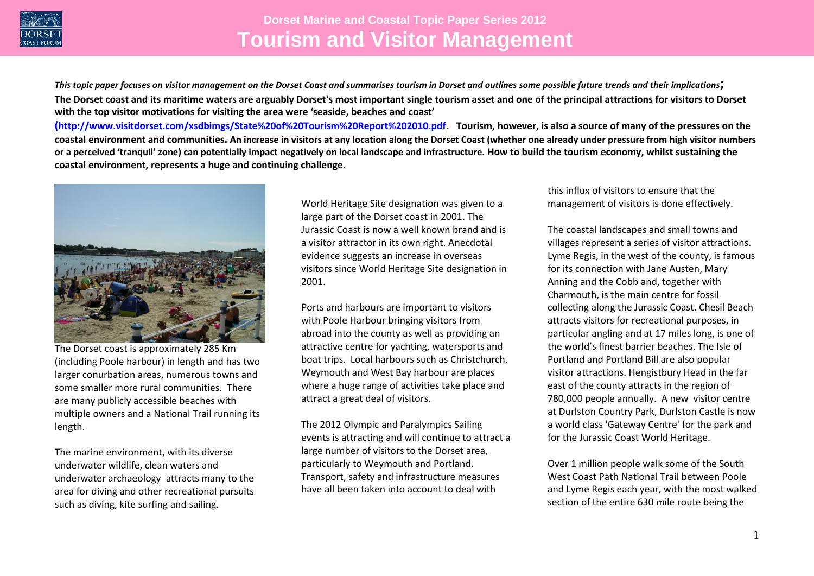

*This topic paper focuses on visitor management on the Dorset Coast and summarises tourism in Dorset and outlines some possible future trends and their implications***; The Dorset coast and its maritime waters are arguably Dorset's most important single tourism asset and one of the principal attractions for visitors to Dorset with the top visitor motivations for visiting the area were 'seaside, beaches and coast'**

**([http://www.visitdorset.com/xsdbimgs/State%20of%20Tourism%20Report%202010.pdf.](http://www.visitdorset.com/xsdbimgs/State%20of%20Tourism%20Report%202010.pdf) Tourism, however, is also a source of many of the pressures on the coastal environment and communities. An increase in visitors at any location along the Dorset Coast (whether one already under pressure from high visitor numbers or a perceived 'tranquil' zone) can potentially impact negatively on local landscape and infrastructure. How to build the tourism economy, whilst sustaining the coastal environment, represents a huge and continuing challenge.**



The Dorset coast is approximately 285 Km (including Poole harbour) in length and has two larger conurbation areas, numerous towns and some smaller more rural communities. There are many publicly accessible beaches with multiple owners and a National Trail running its length.

The marine environment, with its diverse underwater wildlife, clean waters and underwater archaeology attracts many to the area for diving and other recreational pursuits such as diving, kite surfing and sailing.

World Heritage Site designation was given to a large part of the Dorset coast in 2001. The Jurassic Coast is now a well known brand and is a visitor attractor in its own right. Anecdotal evidence suggests an increase in overseas visitors since World Heritage Site designation in 2001.

Ports and harbours are important to visitors with Poole Harbour bringing visitors from abroad into the county as well as providing an attractive centre for yachting, watersports and boat trips. Local harbours such as Christchurch, Weymouth and West Bay harbour are places where a huge range of activities take place and attract a great deal of visitors.

The 2012 Olympic and Paralympics Sailing events is attracting and will continue to attract a large number of visitors to the Dorset area, particularly to Weymouth and Portland. Transport, safety and infrastructure measures have all been taken into account to deal with

this influx of visitors to ensure that the management of visitors is done effectively.

The coastal landscapes and small towns and villages represent a series of visitor attractions. Lyme Regis, in the west of the county, is famous for its connection with Jane Austen, Mary Anning and the Cobb and, together with Charmouth, is the main centre for fossil collecting along the Jurassic Coast. Chesil Beach attracts visitors for recreational purposes, in particular angling and at 17 miles long, is one of the world's finest barrier beaches. The Isle of Portland and Portland Bill are also popular visitor attractions. Hengistbury Head in the far east of the county attracts in the region of 780,000 people annually. A new visitor centre at Durlston Country Park, Durlston Castle is now a world class 'Gateway Centre' for the park and for the Jurassic Coast World Heritage.

Over 1 million people walk some of the South West Coast Path National Trail between Poole and Lyme Regis each year, with the most walked section of the entire 630 mile route being the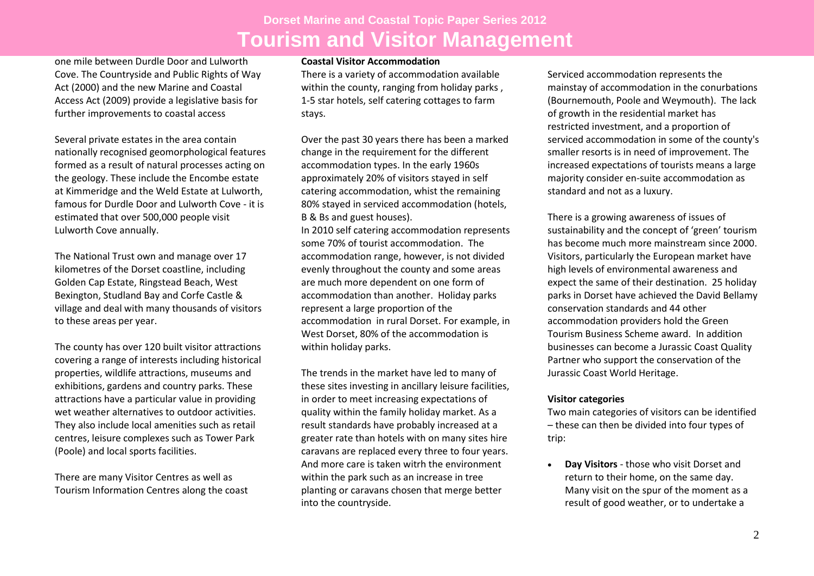one mile between Durdle Door and Lulworth Cove. The Countryside and Public Rights of Way Act (2000) and the new Marine and Coastal Access Act (2009) provide a legislative basis for further improvements to coastal access

Several private estates in the area contain nationally recognised geomorphological features formed as a result of natural processes acting on the geology. These include the Encombe estate at Kimmeridge and the Weld Estate at Lulworth, famous for Durdle Door and Lulworth Cove - it is estimated that over 500,000 people visit Lulworth Cove annually.

The National Trust own and manage over 17 kilometres of the Dorset coastline, including Golden Cap Estate, Ringstead Beach, West Bexington, Studland Bay and Corfe Castle & village and deal with many thousands of visitors to these areas per year.

The county has over 120 built visitor attractions covering a range of interests including historical properties, wildlife attractions, museums and exhibitions, gardens and country parks. These attractions have a particular value in providing wet weather alternatives to outdoor activities. They also include local amenities such as retail centres, leisure complexes such as Tower Park (Poole) and local sports facilities.

There are many Visitor Centres as well as Tourism Information Centres along the coast

#### **Coastal Visitor Accommodation**

There is a variety of accommodation available within the county, ranging from holiday parks, 1-5 star hotels, self catering cottages to farm stays.

Over the past 30 years there has been a marked change in the requirement for the different accommodation types. In the early 1960s approximately 20% of visitors stayed in self catering accommodation, whist the remaining 80% stayed in serviced accommodation (hotels, B & Bs and guest houses).

In 2010 self catering accommodation represents some 70% of tourist accommodation. The accommodation range, however, is not divided evenly throughout the county and some areas are much more dependent on one form of accommodation than another. Holiday parks represent a large proportion of the accommodation in rural Dorset. For example, in West Dorset, 80% of the accommodation is within holiday parks.

The trends in the market have led to many of these sites investing in ancillary leisure facilities, in order to meet increasing expectations of quality within the family holiday market. As a result standards have probably increased at a greater rate than hotels with on many sites hire caravans are replaced every three to four years. And more care is taken witrh the environment within the park such as an increase in tree planting or caravans chosen that merge better into the countryside.

Serviced accommodation represents the mainstay of accommodation in the conurbations (Bournemouth, Poole and Weymouth). The lack of growth in the residential market has restricted investment, and a proportion of serviced accommodation in some of the county's smaller resorts is in need of improvement. The increased expectations of tourists means a large majority consider en-suite accommodation as standard and not as a luxury.

There is a growing awareness of issues of sustainability and the concept of 'green' tourism has become much more mainstream since 2000. Visitors, particularly the European market have high levels of environmental awareness and expect the same of their destination. 25 holiday parks in Dorset have achieved the David Bellamy conservation standards and 44 other accommodation providers hold the Green Tourism Business Scheme award. In addition businesses can become a Jurassic Coast Quality Partner who support the conservation of the Jurassic Coast World Heritage.

#### **Visitor categories**

Two main categories of visitors can be identified – these can then be divided into four types of trip:

 **Day Visitors** - those who visit Dorset and return to their home, on the same day. Many visit on the spur of the moment as a result of good weather, or to undertake a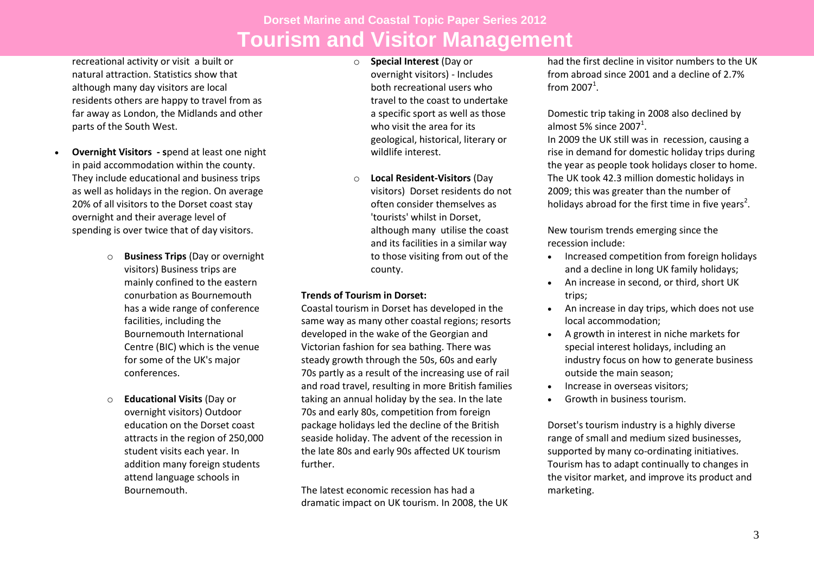recreational activity or visit a built or natural attraction. Statistics show that although many day visitors are local residents others are happy to travel from as far away as London, the Midlands and other parts of the South West.

- **Overnight Visitors - s**pend at least one night in paid accommodation within the county. They include educational and business trips as well as holidays in the region. On average 20% of all visitors to the Dorset coast stay overnight and their average level of spending is over twice that of day visitors.
	- o **Business Trips** (Day or overnight visitors) Business trips are mainly confined to the eastern conurbation as Bournemouth has a wide range of conference facilities, including the Bournemouth International Centre (BIC) which is the venue for some of the UK's major conferences.
	- o **Educational Visits** (Day or overnight visitors) Outdoor education on the Dorset coast attracts in the region of 250,000 student visits each year. In addition many foreign students attend language schools in Bournemouth.
- o **Special Interest** (Day or overnight visitors) - Includes both recreational users who travel to the coast to undertake a specific sport as well as those who visit the area for its geological, historical, literary or wildlife interest.
- o **Local Resident-Visitors** (Day visitors) Dorset residents do not often consider themselves as 'tourists' whilst in Dorset, although many utilise the coast and its facilities in a similar way to those visiting from out of the county.

## **Trends of Tourism in Dorset:**

Coastal tourism in Dorset has developed in the same way as many other coastal regions; resorts developed in the wake of the Georgian and Victorian fashion for sea bathing. There was steady growth through the 50s, 60s and early 70s partly as a result of the increasing use of rail and road travel, resulting in more British families taking an annual holiday by the sea. In the late 70s and early 80s, competition from foreign package holidays led the decline of the British seaside holiday. The advent of the recession in the late 80s and early 90s affected UK tourism further.

The latest economic recession has had a dramatic impact on UK tourism. In 2008, the UK

had the first decline in visitor numbers to the UK from abroad since 2001 and a decline of 2.7% from  $2007<sup>1</sup>$ .

Domestic trip taking in 2008 also declined by almost 5% since  $2007<sup>1</sup>$ .

In 2009 the UK still was in recession, causing a rise in demand for domestic holiday trips during the year as people took holidays closer to home. The UK took 42.3 million domestic holidays in 2009; this was greater than the number of holidays abroad for the first time in five years<sup>2</sup>.

New tourism trends emerging since the recession include:

- Increased competition from foreign holidays and a decline in long UK family holidays;
- An increase in second, or third, short UK trips;
- An increase in day trips, which does not use local accommodation;
- A growth in interest in niche markets for special interest holidays, including an industry focus on how to generate business outside the main season;
- Increase in overseas visitors:
- Growth in business tourism.

Dorset's tourism industry is a highly diverse range of small and medium sized businesses, supported by many co-ordinating initiatives. Tourism has to adapt continually to changes in the visitor market, and improve its product and marketing.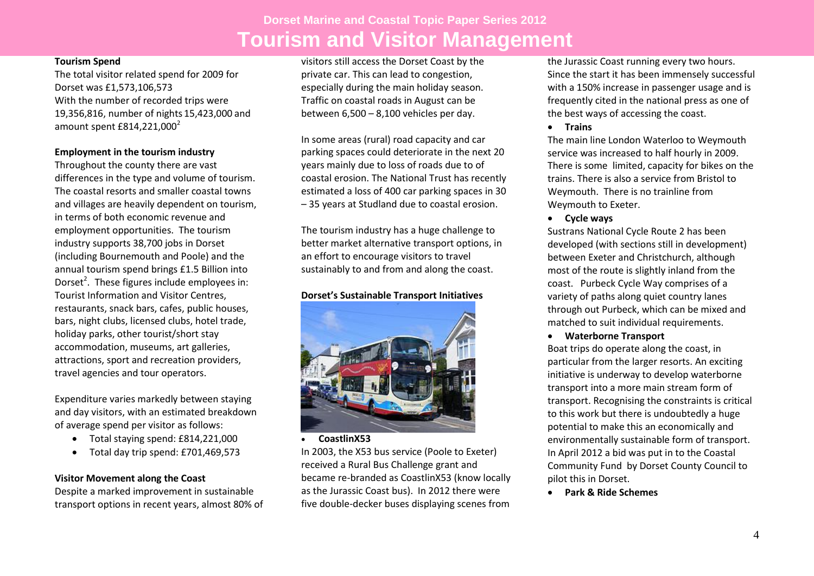#### **Tourism Spend**

The total visitor related spend for 2009 for Dorset was £1,573,106,573 With the number of recorded trips were 19,356,816, number of nights 15,423,000 and amount spent  $£814,221,000^2$ 

### **Employment in the tourism industry**

Throughout the county there are vast differences in the type and volume of tourism. The coastal resorts and smaller coastal towns and villages are heavily dependent on tourism, in terms of both economic revenue and employment opportunities. The tourism industry supports 38,700 jobs in Dorset (including Bournemouth and Poole) and the annual tourism spend brings £1.5 Billion into Dorset<sup>2</sup>. These figures include employees in: Tourist Information and Visitor Centres, restaurants, snack bars, cafes, public houses, bars, night clubs, licensed clubs, hotel trade, holiday parks, other tourist/short stay accommodation, museums, art galleries, attractions, sport and recreation providers, travel agencies and tour operators.

Expenditure varies markedly between staying and day visitors, with an estimated breakdown of average spend per visitor as follows:

- Total staying spend: £814,221,000
- Total day trip spend: £701,469,573

### **Visitor Movement along the Coast**

Despite a marked improvement in sustainable transport options in recent years, almost 80% of

visitors still access the Dorset Coast by the private car. This can lead to congestion, especially during the main holiday season. Traffic on coastal roads in August can be between 6,500 – 8,100 vehicles per day.

In some areas (rural) road capacity and car parking spaces could deteriorate in the next 20 years mainly due to loss of roads due to of coastal erosion. The National Trust has recently estimated a loss of 400 car parking spaces in 30 – 35 years at Studland due to coastal erosion.

The tourism industry has a huge challenge to better market alternative transport options, in an effort to encourage visitors to travel sustainably to and from and along the coast.

## **Dorset's Sustainable Transport Initiatives**



**CoastlinX53**

In 2003, the X53 bus service (Poole to Exeter) received a Rural Bus Challenge grant and became re-branded as CoastlinX53 (know locally as the Jurassic Coast bus). In 2012 there were five double-decker buses displaying scenes from

the Jurassic Coast running every two hours. Since the start it has been immensely successful with a 150% increase in passenger usage and is frequently cited in the national press as one of the best ways of accessing the coast.

**Trains**

The main line London Waterloo to Weymouth service was increased to half hourly in 2009. There is some limited, capacity for bikes on the trains. There is also a service from Bristol to Weymouth. There is no trainline from Weymouth to Exeter.

**Cycle ways**

Sustrans National Cycle Route 2 has been developed (with sections still in development) between Exeter and Christchurch, although most of the route is slightly inland from the coast. Purbeck Cycle Way comprises of a variety of paths along quiet country lanes through out Purbeck, which can be mixed and matched to suit individual requirements.

**Waterborne Transport**

Boat trips do operate along the coast, in particular from the larger resorts. An exciting initiative is underway to develop waterborne transport into a more main stream form of transport. Recognising the constraints is critical to this work but there is undoubtedly a huge potential to make this an economically and environmentally sustainable form of transport. In April 2012 a bid was put in to the Coastal Community Fund by Dorset County Council to pilot this in Dorset.

**Park & Ride Schemes**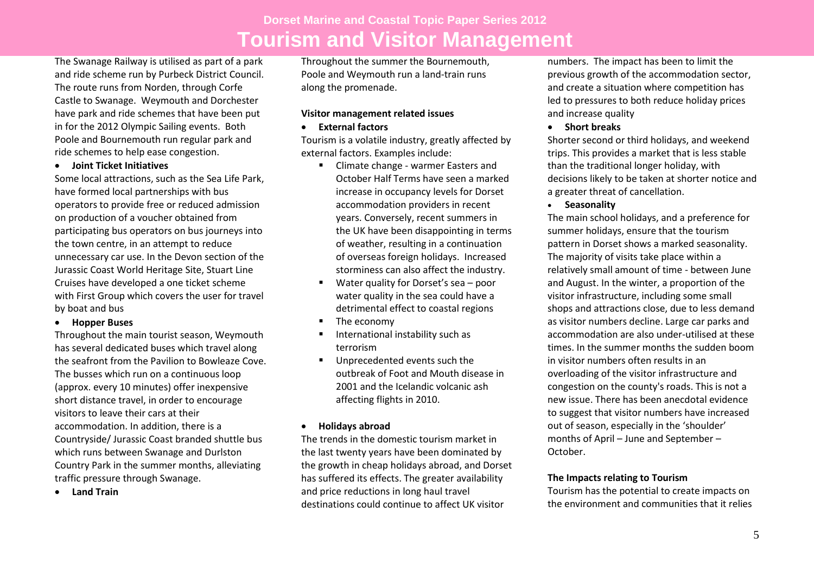The Swanage Railway is utilised as part of a park and ride scheme run by Purbeck District Council. The route runs from Norden, through Corfe Castle to Swanage. Weymouth and Dorchester have park and ride schemes that have been put in for the 2012 Olympic Sailing events. Both Poole and Bournemouth run regular park and ride schemes to help ease congestion.

**Joint Ticket Initiatives** 

Some local attractions, such as the Sea Life Park, have formed local partnerships with bus operators to provide free or reduced admission on production of a voucher obtained from participating bus operators on bus journeys into the town centre, in an attempt to reduce unnecessary car use. In the Devon section of the Jurassic Coast World Heritage Site, Stuart Line Cruises have developed a one ticket scheme with First Group which covers the user for travel by boat and bus

**Hopper Buses** 

Throughout the main tourist season, Weymouth has several dedicated buses which travel along the seafront from the Pavilion to Bowleaze Cove. The busses which run on a continuous loop (approx. every 10 minutes) offer inexpensive short distance travel, in order to encourage visitors to leave their cars at their accommodation. In addition, there is a Countryside/ Jurassic Coast branded shuttle bus which runs between Swanage and Durlston Country Park in the summer months, alleviating traffic pressure through Swanage.

**Land Train** 

Throughout the summer the Bournemouth, Poole and Weymouth run a land-train runs along the promenade.

### **Visitor management related issues**

### **External factors**

Tourism is a volatile industry, greatly affected by external factors. Examples include:

- Climate change warmer Easters and October Half Terms have seen a marked increase in occupancy levels for Dorset accommodation providers in recent years. Conversely, recent summers in the UK have been disappointing in terms of weather, resulting in a continuation of overseas foreign holidays. Increased storminess can also affect the industry.
- Water quality for Dorset's sea poor water quality in the sea could have a detrimental effect to coastal regions
- **The economy**
- **International instability such as** terrorism
- **Unprecedented events such the** outbreak of Foot and Mouth disease in 2001 and the Icelandic volcanic ash affecting flights in 2010.

## **Holidays abroad**

The trends in the domestic tourism market in the last twenty years have been dominated by the growth in cheap holidays abroad, and Dorset has suffered its effects. The greater availability and price reductions in long haul travel destinations could continue to affect UK visitor

numbers. The impact has been to limit the previous growth of the accommodation sector, and create a situation where competition has led to pressures to both reduce holiday prices and increase quality

**Short breaks** 

Shorter second or third holidays, and weekend trips. This provides a market that is less stable than the traditional longer holiday, with decisions likely to be taken at shorter notice and a greater threat of cancellation.

**Seasonality**

The main school holidays, and a preference for summer holidays, ensure that the tourism pattern in Dorset shows a marked seasonality. The majority of visits take place within a relatively small amount of time - between June and August. In the winter, a proportion of the visitor infrastructure, including some small shops and attractions close, due to less demand as visitor numbers decline. Large car parks and accommodation are also under-utilised at these times. In the summer months the sudden boom in visitor numbers often results in an overloading of the visitor infrastructure and congestion on the county's roads. This is not a new issue. There has been anecdotal evidence to suggest that visitor numbers have increased out of season, especially in the 'shoulder' months of April – June and September – October.

## **The Impacts relating to Tourism**

Tourism has the potential to create impacts on the environment and communities that it relies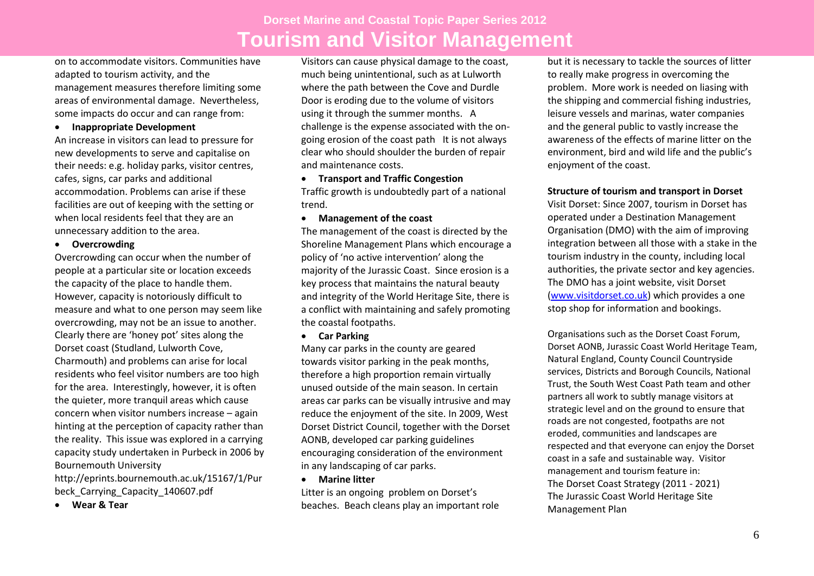on to accommodate visitors. Communities have adapted to tourism activity, and the management measures therefore limiting some areas of environmental damage. Nevertheless, some impacts do occur and can range from:

#### **Inappropriate Development**

An increase in visitors can lead to pressure for new developments to serve and capitalise on their needs: e.g. holiday parks, visitor centres, cafes, signs, car parks and additional accommodation. Problems can arise if these facilities are out of keeping with the setting or when local residents feel that they are an unnecessary addition to the area.

**Overcrowding** 

Overcrowding can occur when the number of people at a particular site or location exceeds the capacity of the place to handle them. However, capacity is notoriously difficult to measure and what to one person may seem like overcrowding, may not be an issue to another. Clearly there are 'honey pot' sites along the Dorset coast (Studland, Lulworth Cove, Charmouth) and problems can arise for local residents who feel visitor numbers are too high for the area. Interestingly, however, it is often the quieter, more tranquil areas which cause concern when visitor numbers increase – again hinting at the perception of capacity rather than the reality. This issue was explored in a carrying capacity study undertaken in Purbeck in 2006 by Bournemouth University

http://eprints.bournemouth.ac.uk/15167/1/Pur beck Carrying Capacity 140607.pdf

**Wear & Tear** 

Visitors can cause physical damage to the coast, much being unintentional, such as at Lulworth where the path between the Cove and Durdle Door is eroding due to the volume of visitors using it through the summer months. A challenge is the expense associated with the ongoing erosion of the coast path It is not always clear who should shoulder the burden of repair and maintenance costs.

### **Transport and Traffic Congestion** Traffic growth is undoubtedly part of a national trend.

#### **Management of the coast**

The management of the coast is directed by the Shoreline Management Plans which encourage a policy of 'no active intervention' along the majority of the Jurassic Coast. Since erosion is a key process that maintains the natural beauty and integrity of the World Heritage Site, there is a conflict with maintaining and safely promoting the coastal footpaths.

#### **Car Parking**

Many car parks in the county are geared towards visitor parking in the peak months, therefore a high proportion remain virtually unused outside of the main season. In certain areas car parks can be visually intrusive and may reduce the enjoyment of the site. In 2009, West Dorset District Council, together with the Dorset AONB, developed car parking guidelines encouraging consideration of the environment in any landscaping of car parks.

#### **Marine litter**

Litter is an ongoing problem on Dorset's beaches. Beach cleans play an important role

but it is necessary to tackle the sources of litter to really make progress in overcoming the problem. More work is needed on liasing with the shipping and commercial fishing industries, leisure vessels and marinas, water companies and the general public to vastly increase the awareness of the effects of marine litter on the environment, bird and wild life and the public's enjoyment of the coast.

#### **Structure of tourism and transport in Dorset**

Visit Dorset: Since 2007, tourism in Dorset has operated under a Destination Management Organisation (DMO) with the aim of improving integration between all those with a stake in the tourism industry in the county, including local authorities, the private sector and key agencies. The DMO has a joint website, visit Dorset [\(www.visitdorset.co.uk\)](http://www.visitdorset.co.uk/) which provides a one stop shop for information and bookings.

Organisations such as the Dorset Coast Forum, Dorset AONB, Jurassic Coast World Heritage Team, Natural England, County Council Countryside services, Districts and Borough Councils, National Trust, the South West Coast Path team and other partners all work to subtly manage visitors at strategic level and on the ground to ensure that roads are not congested, footpaths are not eroded, communities and landscapes are respected and that everyone can enjoy the Dorset coast in a safe and sustainable way. Visitor management and tourism feature in: The Dorset Coast Strategy (2011 - 2021) The Jurassic Coast World Heritage Site Management Plan